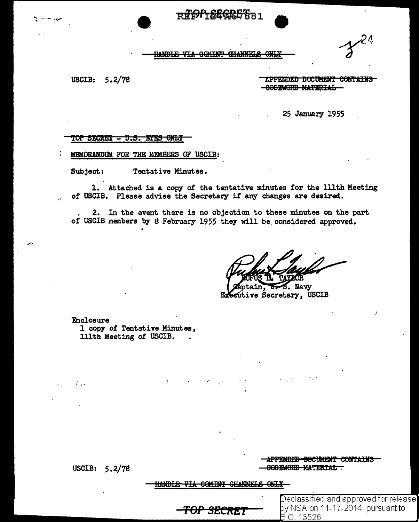**R#OPT&EGRETRA1** 

 $\mathcal{F}$ 

<u>HANDLE VIA GONINT QUANNELS ONLY</u>

USCIB: 5.2/78

 $\mathbf{v}$ 

APPENDED DOCUMENT CONTAINS CODEWORD MATERIAL

25 January 1955

#### TOP SECRET - U.S. ETES ONLY

MEMORANDUM FOR THE MEMBERS OF USCIB:

Subject: Tentative Minutes.

1. Attached is a copy of the tentative minutes for the 111th Meeting of USCIB. Please advise the Secretary if any changes are desired.

2. In the event there is no objection to these minutes on the part of USCIB members by 8 February 1955 they will be considered approved.

. Navy Executive Secretary, USCIB

**Enclosure** 1 copy of Tentative Minutes, 111th Meeting of USCIB.

 $\mathbf{r}$ 

USCIB:  $5.2/78$ 

 $\mathcal{L}$  and  $\mathcal{L}$ 

APPENDED DOCUMENT CONTAINS CODEWORD MATERIAL

 $E.O. 13526$ 

Declassified and approved for release] by NSA on 11-17-2014  $\,$  pursuant to  $\,$ 

**HANDLE VIA COMINT CHANNELS ONLY-**

<del>TOP SECRET</del>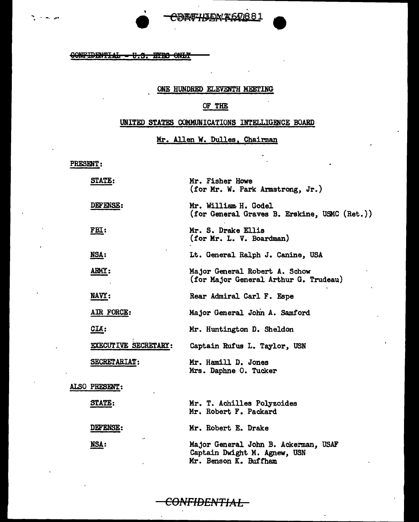



SONFIDENTIAL - U.S. BYBS ONLY

#### ONE HUNDRED ELEVENTH MEETING

#### OF THE

#### UNITED STATES COMMUNICATIONS INTELLIGENCE BOARD

## Mr. Allen W. Dulles, Chairman

PRESENT:

| STATE:               | Mr. Fisher Howe<br>(for Mr. W. Park Armstrong, Jr.)                                           |
|----------------------|-----------------------------------------------------------------------------------------------|
| DEFENSE:             | Mr. William H. Godel<br>(for General Graves B. Erskine, USMC (Ret.))                          |
| <u>FBI:</u>          | Mr. S. Drake Ellis<br>(for Mr. L. V. Boardman)                                                |
| <b>NSA:</b>          | Lt. General Ralph J. Canine, USA                                                              |
| ARMY:                | Major General Robert A. Schow<br>(for Major General Arthur G. Trudeau)                        |
| NAVY:                | Rear Admiral Carl F. Espe                                                                     |
| AIR FORCE:           | Major General John A. Samford                                                                 |
| CLA:                 | Mr. Huntington D. Sheldon                                                                     |
| EXECUTIVE SECRETARY: | Captain Rufus L. Taylor, USN                                                                  |
| <b>SECRETARIAT:</b>  | Mr. Hamill D. Jones<br>Mrs. Daphne O. Tucker                                                  |
| ALSO PRESENT:        |                                                                                               |
| STATE:               | Mr. T. Achilles Polyzoides<br>Mr. Robert F. Packard                                           |
| DEFENSE:             | Mr. Robert E. Drake                                                                           |
| NSA:                 | Major General John B. Ackerman, USAF<br>Captain Dwight M. Agnew, USN<br>Mr. Benson K. Buffham |

<del>CONFIDENTIAL -</del>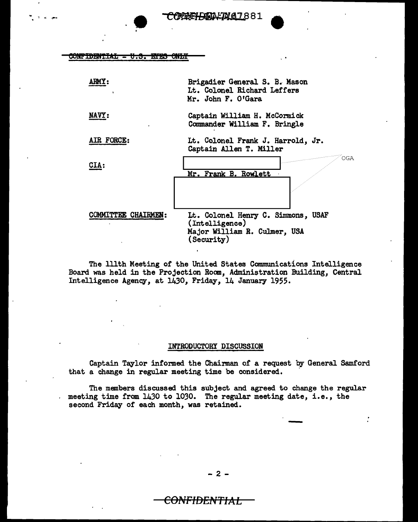•

#### <del>ont to my "AT.</del> <del>u.s. mrs ow</del>

| <b>ARMY :</b>              | Brigadier General S. B. Mason<br>Lt. Colonel Richard Leffers<br>Mr. John F. O'Gara                        |
|----------------------------|-----------------------------------------------------------------------------------------------------------|
| <b>NAVY:</b>               | Captain William H. McCormick<br>Commander William F. Bringle                                              |
| <b>AIR FORCE:</b>          | Lt. Colonel Frank J. Harrold, Jr.<br>Captain Allen T. Miller                                              |
| <b>CIA:</b>                | OGA<br>Mr. Frank B. Rowlett                                                                               |
| <b>COMMITTEE CHAIRMEN:</b> | Lt. Colonel Henry C. Simmons, USAF<br>(Intelligence)<br>Major William R. Culmer, USA<br><b>(Security)</b> |

The lllth Meeting of the United States Communications Intelligence Board was held in the Projection Room, Administration Building, Central Intelligence Agency, at 1430, Friday, 14 January 1955.

#### INTRODUCTORY DISCUSSION

Captain Taylor informed the Chairman of a request by General Samford that a change in regular meeting time be considered.

The members discussed this subject and agreed to change the regular meeting time from 1430 to 1030. The regular meeting date, i.e., the second Friday or each month, was retained.

-

- 2 -

## <del>CONFIDENTIAL</del>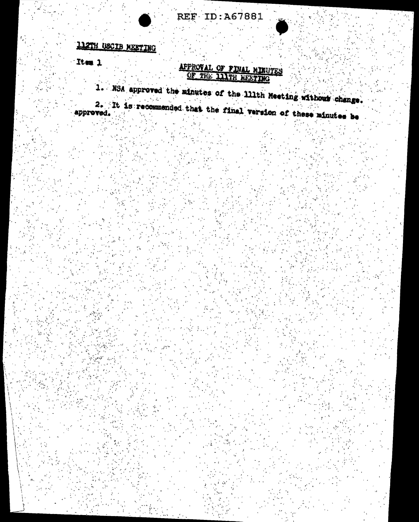

# 112TH USCIB MEETING

Item 1

APPROVAL OF FINAL MINUTES

1. NSA approved the minutes of the 111th Meeting without change.

2. It is recommended that the final version of these minutes be approved.